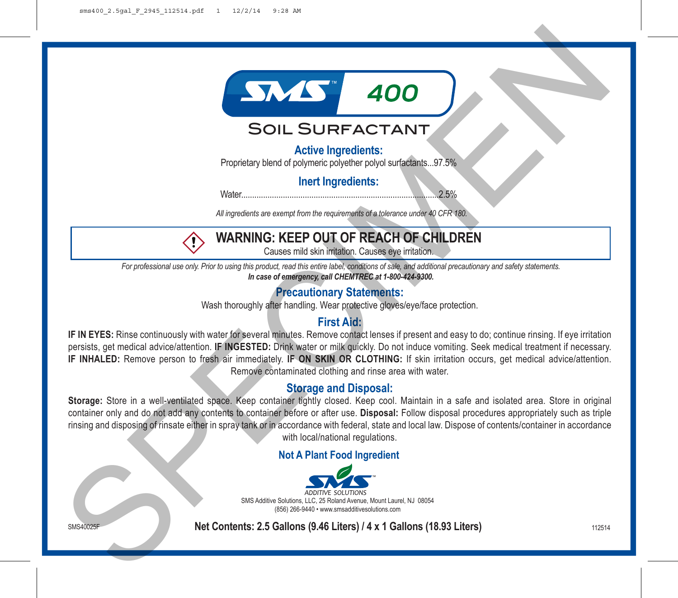

## Soil Surfactant

**Active Ingredients:**

Proprietary blend of polymeric polyether polyol surfactants...97.5%

**Inert Ingredients:**

Water..........................................................................................2.5%

*All ingredients are exempt from the requirements of a tolerance under 40 CFR 180.*



# **WARNING: KEEP OUT OF REACH OF CHILDREN**

Causes mild skin irritation. Causes eye irritation.

*For professional use only. Prior to using this product, read this entire label, conditions of sale, and additional precautionary and safety statements. In case of emergency, call CHEMTREC at 1-800-424-9300.*

## **Precautionary Statements:**

Wash thoroughly after handling. Wear protective gloves/eye/face protection.

## **First Aid:**

**IF IN EYES:** Rinse continuously with water for several minutes. Remove contact lenses if present and easy to do; continue rinsing. If eye irritation persists, get medical advice/attention. **IF INGESTED:** Drink water or milk quickly. Do not induce vomiting. Seek medical treatment if necessary. **IF INHALED:** Remove person to fresh air immediately. **IF ON SKIN OR CLOTHING:** If skin irritation occurs, get medical advice/attention. Remove contaminated clothing and rinse area with water.

#### **Storage and Disposal:**

**Storage:** Store in a well-ventilated space. Keep container tightly closed. Keep cool. Maintain in a safe and isolated area. Store in original container only and do not add any contents to container before or after use. **Disposal:** Follow disposal procedures appropriately such as triple rinsing and disposing of rinsate either in spray tank or in accordance with federal, state and local law. Dispose of contents/container in accordance with local/national regulations. SOIL SURFRACTANT<br>
SOIL SURFRACTANT<br>
Propressy blend of physicial propries that all content is the content of the content of the content of the content of the content of the content of the content of the content of the cont

#### **Not A Plant Food Ingredient**



**SMS40025F Net Contents: 2.5 Gallons (9.46 Liters) / 4 x 1 Gallons (18.93 Liters)** 112514